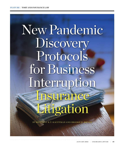# New Pandemic Discovery Protocols for Business Interruption Insurance Litigation

BY BRITTANY K.T. KAUFFMAN AND BROOKE H. MEYER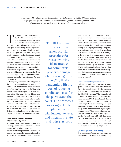*This article builds on two previous* Colorado Lawyer *articles surveying COVID-19 insurance issues. It highlights recently developed initial discovery protocols for business interruption insurance disputes that are intended to make discovery in these cases more efficient.*

en months into the pandemic,<br>
COVID-19 continues to impact<br>
large and small businesses. Many<br>
businesses have permanently closed,<br>
while others have adapted by transitioning COVID-19 continues to impact large and small businesses. Many businesses have permanently closed, employees to teleworking, developing a virtual retail presence, or seeking federal loan assistance. The aggregate losses for US companies with fewer than 100 workers has been estimated at as much as \$431 billion a month.<sup>1</sup> In the wake of these losses, businesses continue to file insurance claims for business interruption (BI) and similar insurance coverage. On the insurance side, insurers could face as much as \$100 billion in losses from the pandemic.<sup>2</sup> There has already been a rapid increase in court cases involving commercial property damage BI insurance claims, as explored in a recent two-part *Colorado Lawyer* series.3

Recognizing the need to efficiently process this influx of cases in both state and federal courts, IAALS, the Institute for the Advancement of the American Legal System at the University of Denver, launched a project to create discovery protocols for BI insurance disputes (BI Insurance Protocols).4 The BI Insurance Protocols provide a new pretrial procedure for cases involving BI insurance for commercial property damage claims arising from the COVID-19 pandemic, with the goal of reducing conflict and cost for the parties and the court. The protocols are designed to be implemented by trial judges, lawyers, and litigants in state and federal courts.

# The Current State of Business Interruption Litigation

BI coverage, also known as business income coverage, covers lost income and operating expenses when a business cannot continue normal business operations. The business interruption must result from direct physical loss or damage to the insured's property. Coverage

# "

The BI Insurance Protocols provide a new pretrial procedure for cases involving BI insurance for commercial property damage claims arising from the COVID-19 pandemic, with the goal of reducing conflict and cost for the parties and the court. The protocols are designed to be implemented by trial judges, lawyers, and litigants in state and federal courts.

,,

depends on the policy language, insurers' forms, and any exclusions that would preclude coverage for BI losses. The threshold question when determining coverage is whether the business suffered a direct physical loss of or damage to its property according to the policy terms at issue.<sup>5</sup> Jurisdictions disagree about what constitutes physical loss of or damage to the property. For example, some courts have held that property must suffer physical structural damage.<sup>6</sup> Colorado courts have held that physical loss means the property is unfit for physical occupancy or is unusable.7 During COVID-19, litigation has focused on whether viral or similar exclusions exclude such coverage, and whether specialty coverage applies, such as coverage for business losses due to "civil authority clauses."

#### *Covid Coverage Litigation Tracker*

Professor Tom Baker at the University of Pennsylvania Carey Law School developed the online Covid Coverage Litigation Tracker to report data on BI insurance coverage cases related to the COVID-19 pandemic.<sup>8</sup> The data collected includes policyholder name and industry code, insurer name and AM Best number, policyholder and insurer law firms, jurisdictions where the case is litigated, the coverage sought, the type of insurance policy and state of issue, insurance policy forms, and information regarding key litigation events.<sup>9</sup> The site approximates a twoweek delay from case filing to tracking on the website.10 As of November 25, 2020, the site lists  $1,414$  lawsuits filed for BI coverage.<sup>11</sup> The site also keeps track of outcomes on merit-based motions to dismiss and will eventually track and compare specific policy language.<sup>12</sup>

## *Spectrum of Recent Court Rulings*

BI lawsuits across federal and state courts are in early litigation stages. Courts are beginning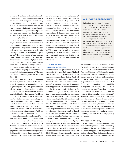to rule on defendants' motions to dismiss for failure to state a claim, plaintiffs are seeking to amend complaints, and parties are exchanging initial disclosures. Court rulings on defendants' motions to dismiss for failure to state a claim run the gamut, including dismissing plaintiffs' cases with or without prejudice, denying the motions and proceeding with scheduling orders and setting trial dates, or granting dispositive motions in plaintiffs' favor.

In *Studio 417, Inc. v. Cincinnati Insurance Co.*, the Western District of Missouri denied an insurer's motion to dismiss, rejecting arguments that plaintiffs, a proposed class of restaurants and hair salons, did not state plausible claims for "direct physical loss," "civil authority," "ingress/ egress," "dependent property," and "sue and labor" coverage under their "all risk" policies.<sup>13</sup> The court acknowledged that "'physical loss' is not synonymous with physical damage" because "loss" includes "the act of losing possession" and "deprivation," and a physical loss may occur when the property is "uninhabitable or unusable for its intended purpose."14 The court then issued a scheduling order and set trial for May 2022.

In *North State Deli, LLC, v. Cincinnati Insurance Co.*, a superior court in North Carolina granted plaintiffs' partial motion for summary judgment against defendants "jointly and severally" for declaratory judgment, where the policies did not contain viral exclusions and the court concluded that the policy language, "'accidental physical loss *or* accidental physical damage,'" has "two distinct and separate meanings," and "the phrase 'direct physical loss' included the loss of use or access to covered property even where that property has not been structurally altered."15 Further, the court told parties that the order represented "a final judgment" with "no just reason for delay of any appeal."<sup>16</sup>

 Courts have also dismissed insureds' lawsuits—both with and without prejudice—for failure to adequately allege direct physical loss. In *Henry's Louisiana Grill, Inc. v. Allied Insurance Co.*, the Northern District of Georgia granted the insurer's motion to dismiss with prejudice the insureds' lawsuit seeking coverage for BI and civil authority clause coverage.17 The court examined the key phrase "'direct physical loss of or damage to' the covered property" and determined that plaintiffs could not state probable claims because they admitted that COVID-19 had never been identified on the premises.18 The court also rejected plaintiffs' argument, based on the civil authority clause, that the Georgia Governor's Executive Order generated a physical change to the property that rendered the once satisfactory dining rooms "unsatisfactory."19 The court also denied, in its discretion, plaintiffs' request to certify questions of law to the Supreme Court of Georgia for an answer on determinative state law issues based on "substantial doubt regarding the status of state law."20 The court noted that while jurisprudence regarding COVID-19 is understandably in its early stages, at least one other district court within the Eleventh Circuit appeared to align with its decision.<sup>21</sup>

## *The US Judicial Panel on Multidistrict Litigation*

Two motions were brought under 28 USC § 1407 to centralize BI litigation before the US Judicial Panel on Multidistrict Litigation (JPML). The first sought centralization in the Eastern District of Pennsylvania, and the second in the Northern District of Illinois.<sup>22</sup> Plaintiffs in more than 175 actions filed varying responses to the motions, including proposals for centralization to another district, or creation of an industry-wide multidistrict litigation (MDL) based on "a state-by-state, regional, or insurer-by-insurer basis."23 The panel received "notice of 263 related actions . . . pending in 48 districts and nam[ing] more than a hundred insurers."24 On August 12, 2020, the JPML concluded that centralization would not further the just and efficient conduct of this litigation or convenience the parties and witnesses where there is only a shared "superficial commonality" because "there is no common defendant" and the "cases involve different insurance policies with different coverages, conditions, exclusions, and policy language, purchased by different businesses in different industries located in different states."25

While the JPML rejected the insureds' motions to transfer and centralize all federally filed COVID-19-related BI cases, it agreed to consider creating an MDL specific to five insurers that

# A JUDGE'S PERSPECTIVE

Judge Lee Rosenthal, chief judge of the US District Court for the Southern District of Texas, Houston Division, offers her view: "IAALS' prior discovery protocols have proven incredibly valuable to efficient, fair, cost-effective progress in each of these categories of cases. Because lawyers on both sides of the 'v.' were involved in developing each protocol, the obligations are balanced and fair. The lawyers and parties get critical information they need in every case early, and fast. Often this is the only information needed for meaningful case evaluation and early resolution."

accounted for about one-third of the cases.<sup>26</sup> On October 2, 2020, in *In re: Society Insurance Co. COVID-19 Business Interruption Protection Insurance Litigation*, the JPML agreed to transfer and centralize over 30 federal cases against Society Insurance Co. to the US District Court for the Northern District of Illinois.<sup>27</sup> With respect to *Society Insurance Co.*, the JPML found that a consolidated action would be manageable because it implicated the law of only six states and would "serve the convenience of the parties and witnesses and further the just and efficient conduct of this litigation."28 The JPML declined insurer-specific MDLs for the other insurers—Cincinnati Insurance Co.; Hartford Financial Services Group Inc.; Certain Underwriters at Lloyd's, London; and Travelers Co.—finding that it would not be more efficient to consolidate the cases against those insurers because the lawsuits were pending in too many different jurisdictions that were geographically too far apart.

#### The Need for Efficiency

Like businesses, the justice system is being disrupted by the pandemic. Courts are rethinking and altering the way they do business, with the overarching goal of ensuring the efficient delivery of justice. These challenges will continue as filings increase, so litigants, attorneys, judges,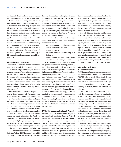and the courts should work now toward ensuring that cases move through the process efficiently.

Courts can take meaningful steps to tailor processes for different case types and unique customer demands, from large companies to self-represented litigants. This will help address the anticipated increase in civil cases that is likely to persist for the foreseeable future as businesses deal with the economic fallout of COVID-19. As one member of the IAALS' BI Insurance Protocols working group stated, "Courts and litigants throughout the country will be grappling with COVID-19 insurance issues long after the disease has run its course."29

 Discovery is often at the heart of cost and delay in litigation, so enhancing efficiency at this stage of litigation can make a significant difference.

### Initial Discovery Protocols

Discovery can be expensive and time-consuming for parties, particularly when the information and documents sought in discovery are central to resolving the issues. Pattern discovery protocols provide a clearly defined set of information and documents to be exchanged that are tailored by case type. This approach has been used successfully in state and federal courts, and some states have adopted pattern discovery by rule for common case types such as personal injury actions.30

IAALS has facilitated the development of pattern discovery protocols for specific case types. The first set of protocols, the Initial Discovery Protocols for Employment Cases Alleging Adverse Action (Employment Protocols), was published as a nationwide pilot project by the Federal Judicial Center (FJC) in November 2011.31 The Employment Protocols have since been adopted by over 75 federal judges and on a district-wide basis in multiple jurisdictions around the country, including the District of Connecticut and the District of Oregon. The FJC has issued multiple reports evaluating the pilot project, reflecting that discovery motions are less common in pilot cases than comparison cases.<sup>32</sup>

The Initial Discovery Protocols for Fair Labor Standards Act Cases Not Pleaded as Collective Actions (FLSA Protocols)<sup>33</sup> and Initial Discovery Protocols for First-Party Insurance Property Damage Cases Arising from Disasters (Disaster Protocols)34 followed. For each of the protocols, IAALS brought together a balanced committee of attorneys from across the country who regularly represent plaintiffs or defendants in these matters, along with other key experts (e.g., a Federal Emergency Management Agency attorney in the case of the Disaster Protocols) and state and federal judges.

The IAALS protocols offer a pretrial procedure that makes it easier and faster for parties and their counsel to

- exchange important information and documents early in the case;
- frame the issues;
- evaluate claims for possible early resolution; and
- plan more efficient and targeted subsequent formal discovery, if needed.

In each instance, the protocols create a new category of information exchange, replacing initial disclosures with initial case-specific discovery. This discovery is provided automatically by both sides within a specific number of days from the responsive pleading or motion (30 days for Employment and FLSA Protocols, 45 days for Disaster Protocols). While the parties' subsequent right to discovery under the Federal Rules of Civil Procedure (FRCP) is not affected, the amount and type of information initially exchanged focuses on the disputed issues, which streamlines the discovery process and minimizes opportunities for gamesmanship. The protocols are accompanied by a Standing Order for their implementation by individual judges, as well as an Interim Protective Order that the court and parties can use as a template for discussion.

#### IAALS' BI Insurance Protocols Project

In May 2020, IAALS launched a project to develop a fourth set of Initial Discovery Protocols focused on the incoming wave of BI insurance cases expected to result from the pandemic*.* The BI Insurance Protocols provide a new pretrial procedure for cases involving first-party insurance BI and related coverage claims that arise from the COVID-19 pandemic, or similar public health threats from disease or other sources of infection or contamination. To create the BI Insurance Protocols, IAALS gathered a balanced working group comprising highly experienced attorneys from across the country who regularly represent plaintiffs or defendants in BI insurance and other commercial property damage disputes.35 This working group was kept small to promote efficiency.

Through virtual meetings, the working group developed a draft of discovery protocols based on the Disaster Protocols. The draft was then reviewed by a second, broader committee of experts, which helped generate buy-in for the project. The final product is the result of rigorous debate and compromise on both sides, inspired by the goal of improving the pretrial process in BI cases nationwide. The BI Insurance Protocols aim to reduce conflict and cost and to help businesses and insurers reach quick resolution during the pandemic, whether it be in settlement, motions practice, or trial.

# Interaction with Rules of Civil Procedure

The BI Insurance Protocols supersede the parties' obligations to make initial disclosures under FRCP 26(a)(1) or applicable state disclosure rules. They require both the insured and the insurer to disclose information within 30 days after the insurer has submitted a responsive pleading or motion, unless the court orders otherwise.

The BI Insurance Protocols focus on the basic documents and information required in BI insurance cases. They are not intended to preclude or modify any party's rights to formal discovery, and they do not waive or foreclose a party's right to seek additional discovery. The disclosures focus on the information and documents most likely to be important in facilitating early settlement discussions and resolving or narrowing the issues, and they are not subject to objection except for attorney-client privilege or work-product protection, including joint-defense agreements.

Documents withheld based on a privilege or work-product protection claim are subject to FRCP 26(b)(5) or applicable state rules. Rather than providing a detailed privilege log, the parties may briefly describe documents withheld as privileged, or work-product pro